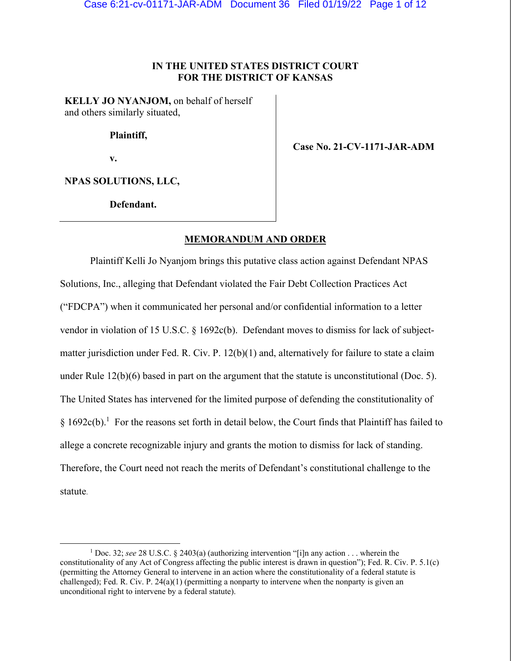## **IN THE UNITED STATES DISTRICT COURT FOR THE DISTRICT OF KANSAS**

**KELLY JO NYANJOM,** on behalf of herself and others similarly situated,

 **Plaintiff,** 

 **v.** 

 **Case No. 21-CV-1171-JAR-ADM** 

**NPAS SOLUTIONS, LLC,** 

 **Defendant.** 

### **MEMORANDUM AND ORDER**

Plaintiff Kelli Jo Nyanjom brings this putative class action against Defendant NPAS Solutions, Inc., alleging that Defendant violated the Fair Debt Collection Practices Act ("FDCPA") when it communicated her personal and/or confidential information to a letter vendor in violation of 15 U.S.C. § 1692c(b). Defendant moves to dismiss for lack of subjectmatter jurisdiction under Fed. R. Civ. P. 12(b)(1) and, alternatively for failure to state a claim under Rule 12(b)(6) based in part on the argument that the statute is unconstitutional (Doc. 5). The United States has intervened for the limited purpose of defending the constitutionality of  $\S 1692c(b).$ <sup>1</sup> For the reasons set forth in detail below, the Court finds that Plaintiff has failed to allege a concrete recognizable injury and grants the motion to dismiss for lack of standing. Therefore, the Court need not reach the merits of Defendant's constitutional challenge to the statute.

<sup>&</sup>lt;sup>1</sup> Doc. 32; *see* 28 U.S.C. § 2403(a) (authorizing intervention "[i]n any action . . . wherein the constitutionality of any Act of Congress affecting the public interest is drawn in question"); Fed. R. Civ. P. 5.1(c) (permitting the Attorney General to intervene in an action where the constitutionality of a federal statute is challenged); Fed. R. Civ. P.  $24(a)(1)$  (permitting a nonparty to intervene when the nonparty is given an unconditional right to intervene by a federal statute).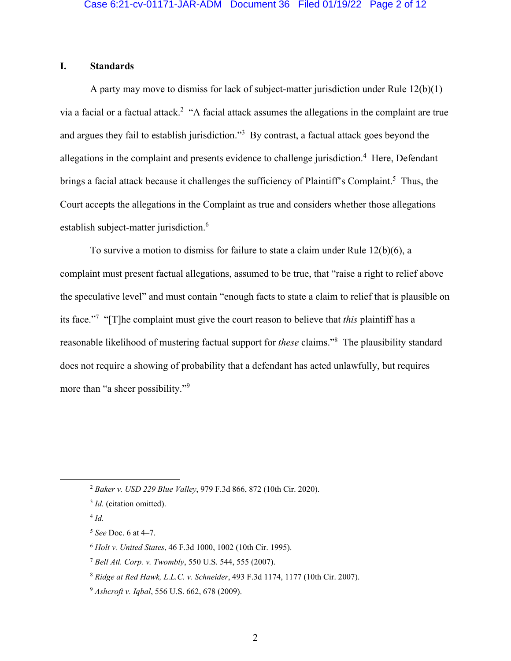# **I. Standards**

A party may move to dismiss for lack of subject-matter jurisdiction under Rule 12(b)(1) via a facial or a factual attack.<sup>2</sup> "A facial attack assumes the allegations in the complaint are true and argues they fail to establish jurisdiction."<sup>3</sup> By contrast, a factual attack goes beyond the allegations in the complaint and presents evidence to challenge jurisdiction.<sup>4</sup> Here, Defendant brings a facial attack because it challenges the sufficiency of Plaintiff's Complaint.<sup>5</sup> Thus, the Court accepts the allegations in the Complaint as true and considers whether those allegations establish subject-matter jurisdiction.<sup>6</sup>

To survive a motion to dismiss for failure to state a claim under Rule 12(b)(6), a complaint must present factual allegations, assumed to be true, that "raise a right to relief above the speculative level" and must contain "enough facts to state a claim to relief that is plausible on its face."7 "[T]he complaint must give the court reason to believe that *this* plaintiff has a reasonable likelihood of mustering factual support for *these* claims."8 The plausibility standard does not require a showing of probability that a defendant has acted unlawfully, but requires more than "a sheer possibility."<sup>9</sup>

<sup>5</sup> *See* Doc. 6 at 4–7.

<sup>2</sup> *Baker v. USD 229 Blue Valley*, 979 F.3d 866, 872 (10th Cir. 2020).

<sup>&</sup>lt;sup>3</sup> *Id.* (citation omitted).

 $4$   $Id$ .

<sup>6</sup> *Holt v. United States*, 46 F.3d 1000, 1002 (10th Cir. 1995).

<sup>7</sup> *Bell Atl. Corp. v. Twombly*, 550 U.S. 544, 555 (2007).

<sup>8</sup> *Ridge at Red Hawk, L.L.C. v. Schneider*, 493 F.3d 1174, 1177 (10th Cir. 2007).

<sup>9</sup> *Ashcroft v. Iqbal*, 556 U.S. 662, 678 (2009).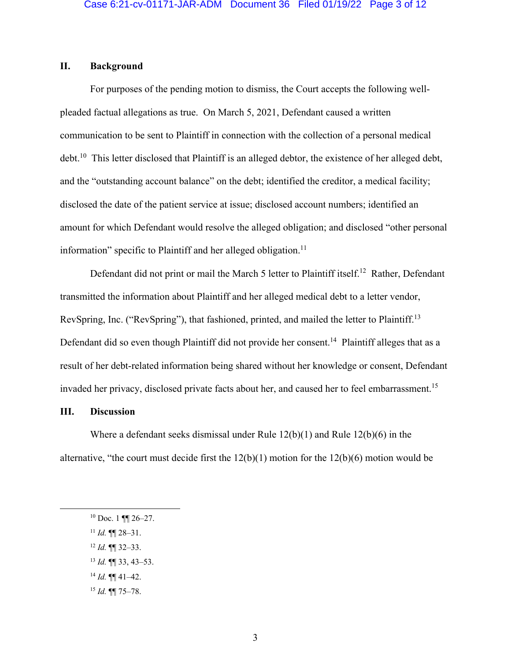# **II. Background**

For purposes of the pending motion to dismiss, the Court accepts the following wellpleaded factual allegations as true. On March 5, 2021, Defendant caused a written communication to be sent to Plaintiff in connection with the collection of a personal medical debt.10 This letter disclosed that Plaintiff is an alleged debtor, the existence of her alleged debt, and the "outstanding account balance" on the debt; identified the creditor, a medical facility; disclosed the date of the patient service at issue; disclosed account numbers; identified an amount for which Defendant would resolve the alleged obligation; and disclosed "other personal information" specific to Plaintiff and her alleged obligation.<sup>11</sup>

Defendant did not print or mail the March 5 letter to Plaintiff itself.<sup>12</sup> Rather, Defendant transmitted the information about Plaintiff and her alleged medical debt to a letter vendor, RevSpring, Inc. ("RevSpring"), that fashioned, printed, and mailed the letter to Plaintiff.<sup>13</sup> Defendant did so even though Plaintiff did not provide her consent.<sup>14</sup> Plaintiff alleges that as a result of her debt-related information being shared without her knowledge or consent, Defendant invaded her privacy, disclosed private facts about her, and caused her to feel embarrassment.<sup>15</sup>

## **III. Discussion**

Where a defendant seeks dismissal under Rule  $12(b)(1)$  and Rule  $12(b)(6)$  in the alternative, "the court must decide first the 12(b)(1) motion for the 12(b)(6) motion would be

- $11$  *Id.* **¶** 28–31.
- <sup>12</sup> *Id.* ¶¶ 32–33.
- <sup>13</sup> *Id.* ¶¶ 33, 43–53.
- <sup>14</sup> *Id.* ¶¶ 41–42.
- <sup>15</sup> *Id.* ¶¶ 75–78.

 $10$  Doc. 1 ¶¶ 26–27.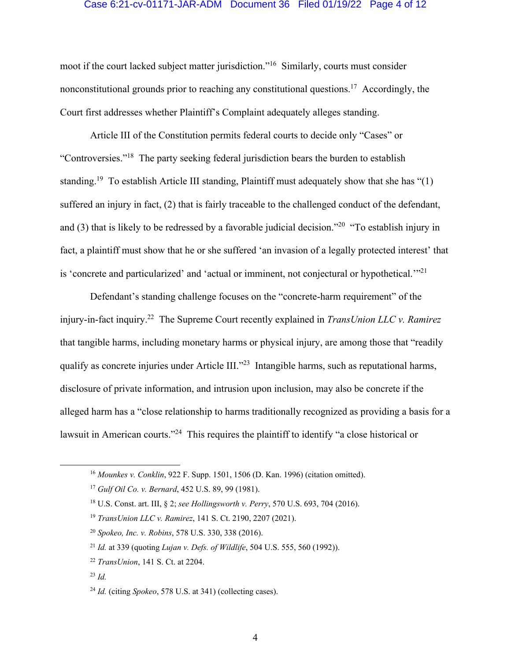#### Case 6:21-cv-01171-JAR-ADM Document 36 Filed 01/19/22 Page 4 of 12

moot if the court lacked subject matter jurisdiction."16 Similarly, courts must consider nonconstitutional grounds prior to reaching any constitutional questions.<sup>17</sup> Accordingly, the Court first addresses whether Plaintiff's Complaint adequately alleges standing.

Article III of the Constitution permits federal courts to decide only "Cases" or "Controversies."18 The party seeking federal jurisdiction bears the burden to establish standing.<sup>19</sup> To establish Article III standing, Plaintiff must adequately show that she has "(1) suffered an injury in fact, (2) that is fairly traceable to the challenged conduct of the defendant, and (3) that is likely to be redressed by a favorable judicial decision."20 "To establish injury in fact, a plaintiff must show that he or she suffered 'an invasion of a legally protected interest' that is 'concrete and particularized' and 'actual or imminent, not conjectural or hypothetical.'"<sup>21</sup>

Defendant's standing challenge focuses on the "concrete-harm requirement" of the injury-in-fact inquiry.22 The Supreme Court recently explained in *TransUnion LLC v. Ramirez* that tangible harms, including monetary harms or physical injury, are among those that "readily qualify as concrete injuries under Article III."<sup>23</sup> Intangible harms, such as reputational harms, disclosure of private information, and intrusion upon inclusion, may also be concrete if the alleged harm has a "close relationship to harms traditionally recognized as providing a basis for a lawsuit in American courts."<sup>24</sup> This requires the plaintiff to identify "a close historical or

<sup>16</sup> *Mounkes v. Conklin*, 922 F. Supp. 1501, 1506 (D. Kan. 1996) (citation omitted).

<sup>17</sup> *Gulf Oil Co. v. Bernard*, 452 U.S. 89, 99 (1981).

<sup>18</sup> U.S. Const. art. III, § 2; *see Hollingsworth v. Perry*, 570 U.S. 693, 704 (2016).

<sup>19</sup> *TransUnion LLC v. Ramirez*, 141 S. Ct. 2190, 2207 (2021).

<sup>20</sup> *Spokeo, Inc. v. Robins*, 578 U.S. 330, 338 (2016).

<sup>21</sup> *Id.* at 339 (quoting *Lujan v. Defs. of Wildlife*, 504 U.S. 555, 560 (1992)).

<sup>22</sup> *TransUnion*, 141 S. Ct. at 2204.

 $^{23}$  *Id.* 

<sup>24</sup> *Id.* (citing *Spokeo*, 578 U.S. at 341) (collecting cases).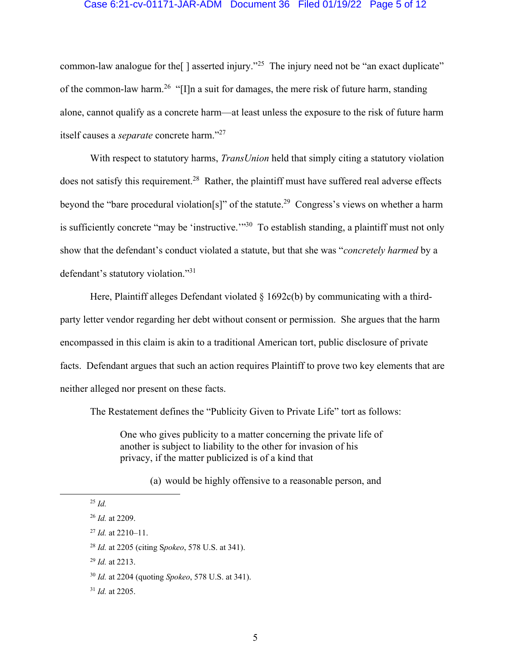#### Case 6:21-cv-01171-JAR-ADM Document 36 Filed 01/19/22 Page 5 of 12

common-law analogue for the  $\lceil \cdot \rceil$  asserted injury."<sup>25</sup> The injury need not be "an exact duplicate" of the common-law harm.<sup>26</sup> "[I]n a suit for damages, the mere risk of future harm, standing alone, cannot qualify as a concrete harm—at least unless the exposure to the risk of future harm itself causes a *separate* concrete harm."27

With respect to statutory harms, *TransUnion* held that simply citing a statutory violation does not satisfy this requirement.<sup>28</sup> Rather, the plaintiff must have suffered real adverse effects beyond the "bare procedural violation[s]" of the statute.<sup>29</sup> Congress's views on whether a harm is sufficiently concrete "may be 'instructive."<sup>30</sup> To establish standing, a plaintiff must not only show that the defendant's conduct violated a statute, but that she was "*concretely harmed* by a defendant's statutory violation."31

Here, Plaintiff alleges Defendant violated  $\S 1692c(b)$  by communicating with a thirdparty letter vendor regarding her debt without consent or permission. She argues that the harm encompassed in this claim is akin to a traditional American tort, public disclosure of private facts. Defendant argues that such an action requires Plaintiff to prove two key elements that are neither alleged nor present on these facts.

The Restatement defines the "Publicity Given to Private Life" tort as follows:

One who gives publicity to a matter concerning the private life of another is subject to liability to the other for invasion of his privacy, if the matter publicized is of a kind that

(a) would be highly offensive to a reasonable person, and

<sup>29</sup> *Id.* at 2213.

<sup>25</sup> *Id.*

<sup>26</sup> *Id.* at 2209.

<sup>27</sup> *Id.* at 2210–11.

<sup>28</sup> *Id.* at 2205 (citing S*pokeo*, 578 U.S. at 341).

<sup>30</sup> *Id.* at 2204 (quoting *Spokeo*, 578 U.S. at 341).

<sup>31</sup> *Id.* at 2205.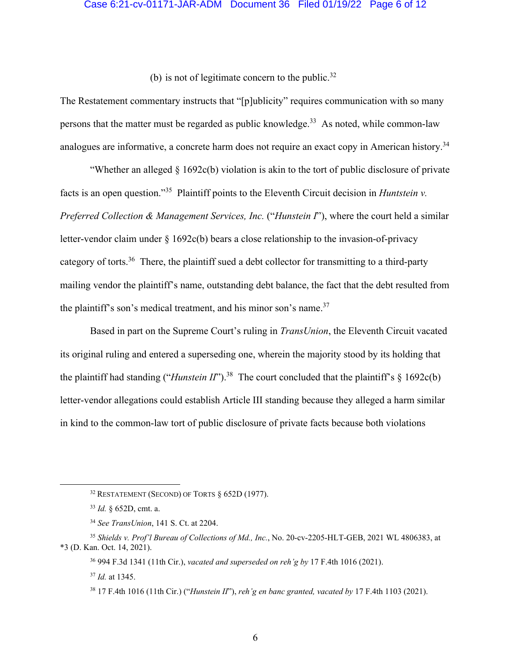#### Case 6:21-cv-01171-JAR-ADM Document 36 Filed 01/19/22 Page 6 of 12

(b) is not of legitimate concern to the public.<sup>32</sup>

The Restatement commentary instructs that "[p]ublicity" requires communication with so many persons that the matter must be regarded as public knowledge.<sup>33</sup> As noted, while common-law analogues are informative, a concrete harm does not require an exact copy in American history.<sup>34</sup>

"Whether an alleged § 1692c(b) violation is akin to the tort of public disclosure of private facts is an open question."35 Plaintiff points to the Eleventh Circuit decision in *Huntstein v. Preferred Collection & Management Services, Inc.* ("*Hunstein I*"), where the court held a similar letter-vendor claim under  $\S 1692c(b)$  bears a close relationship to the invasion-of-privacy category of torts.<sup>36</sup> There, the plaintiff sued a debt collector for transmitting to a third-party mailing vendor the plaintiff's name, outstanding debt balance, the fact that the debt resulted from the plaintiff's son's medical treatment, and his minor son's name.<sup>37</sup>

Based in part on the Supreme Court's ruling in *TransUnion*, the Eleventh Circuit vacated its original ruling and entered a superseding one, wherein the majority stood by its holding that the plaintiff had standing ("*Hunstein II*").<sup>38</sup> The court concluded that the plaintiff's  $\S$  1692c(b) letter-vendor allegations could establish Article III standing because they alleged a harm similar in kind to the common-law tort of public disclosure of private facts because both violations

<sup>32</sup> RESTATEMENT (SECOND) OF TORTS § 652D (1977).

<sup>33</sup> *Id.* § 652D, cmt. a.

<sup>34</sup> *See TransUnion*, 141 S. Ct. at 2204.

<sup>35</sup> *Shields v. Prof'l Bureau of Collections of Md., Inc.*, No. 20-cv-2205-HLT-GEB, 2021 WL 4806383, at \*3 (D. Kan. Oct. 14, 2021).

<sup>36 994</sup> F.3d 1341 (11th Cir.), *vacated and superseded on reh'g by* 17 F.4th 1016 (2021).

<sup>37</sup> *Id.* at 1345.

<sup>38 17</sup> F.4th 1016 (11th Cir.) ("*Hunstein II*"), *reh'g en banc granted, vacated by* 17 F.4th 1103 (2021).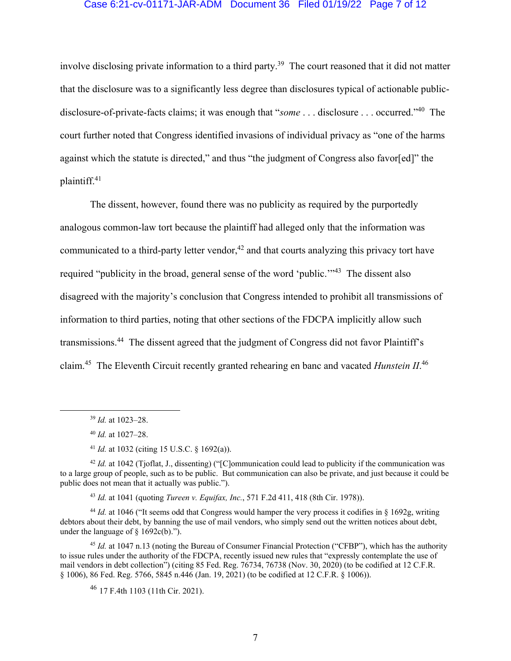#### Case 6:21-cv-01171-JAR-ADM Document 36 Filed 01/19/22 Page 7 of 12

involve disclosing private information to a third party.<sup>39</sup> The court reasoned that it did not matter that the disclosure was to a significantly less degree than disclosures typical of actionable publicdisclosure-of-private-facts claims; it was enough that "*some* . . . disclosure . . . occurred."40 The court further noted that Congress identified invasions of individual privacy as "one of the harms against which the statute is directed," and thus "the judgment of Congress also favor[ed]" the plaintiff.41

The dissent, however, found there was no publicity as required by the purportedly analogous common-law tort because the plaintiff had alleged only that the information was communicated to a third-party letter vendor,  $42$  and that courts analyzing this privacy tort have required "publicity in the broad, general sense of the word 'public.'"43 The dissent also disagreed with the majority's conclusion that Congress intended to prohibit all transmissions of information to third parties, noting that other sections of the FDCPA implicitly allow such transmissions.44 The dissent agreed that the judgment of Congress did not favor Plaintiff's claim.45 The Eleventh Circuit recently granted rehearing en banc and vacated *Hunstein II*. 46

<sup>43</sup> *Id.* at 1041 (quoting *Tureen v. Equifax, Inc.*, 571 F.2d 411, 418 (8th Cir. 1978)).

<sup>44</sup> *Id.* at 1046 ("It seems odd that Congress would hamper the very process it codifies in § 1692g, writing debtors about their debt, by banning the use of mail vendors, who simply send out the written notices about debt, under the language of  $\S$  1692c(b).").

<sup>45</sup> *Id.* at 1047 n.13 (noting the Bureau of Consumer Financial Protection ("CFBP"), which has the authority to issue rules under the authority of the FDCPA, recently issued new rules that "expressly contemplate the use of mail vendors in debt collection") (citing 85 Fed. Reg. 76734, 76738 (Nov. 30, 2020) (to be codified at 12 C.F.R. § 1006), 86 Fed. Reg. 5766, 5845 n.446 (Jan. 19, 2021) (to be codified at 12 C.F.R. § 1006)).

<sup>46</sup> 17 F.4th 1103 (11th Cir. 2021).

<sup>39</sup> *Id.* at 1023–28.

<sup>40</sup> *Id.* at 1027–28.

<sup>41</sup> *Id.* at 1032 (citing 15 U.S.C. § 1692(a)).

<sup>&</sup>lt;sup>42</sup> *Id.* at 1042 (Tjoflat, J., dissenting) ("[C]ommunication could lead to publicity if the communication was to a large group of people, such as to be public. But communication can also be private, and just because it could be public does not mean that it actually was public.").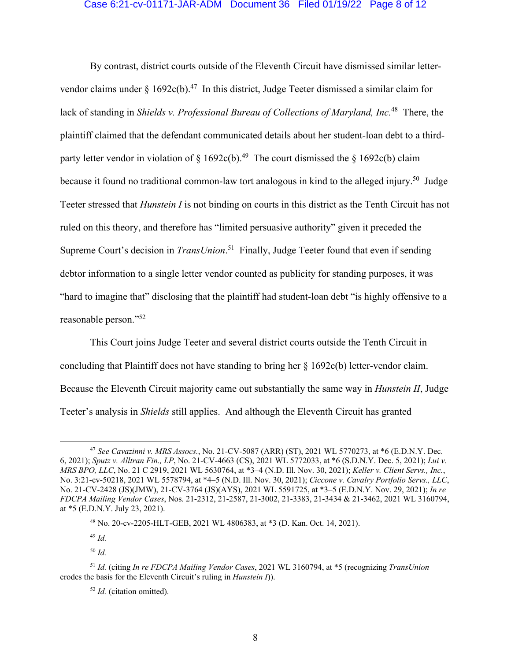#### Case 6:21-cv-01171-JAR-ADM Document 36 Filed 01/19/22 Page 8 of 12

By contrast, district courts outside of the Eleventh Circuit have dismissed similar lettervendor claims under  $\frac{1692c(b)^{47}}{10}$  In this district, Judge Teeter dismissed a similar claim for lack of standing in *Shields v. Professional Bureau of Collections of Maryland, Inc.*48 There, the plaintiff claimed that the defendant communicated details about her student-loan debt to a thirdparty letter vendor in violation of  $\S 1692c(b).$ <sup>49</sup> The court dismissed the  $\S 1692c(b)$  claim because it found no traditional common-law tort analogous in kind to the alleged injury.<sup>50</sup> Judge Teeter stressed that *Hunstein I* is not binding on courts in this district as the Tenth Circuit has not ruled on this theory, and therefore has "limited persuasive authority" given it preceded the Supreme Court's decision in *TransUnion*.<sup>51</sup> Finally, Judge Teeter found that even if sending debtor information to a single letter vendor counted as publicity for standing purposes, it was "hard to imagine that" disclosing that the plaintiff had student-loan debt "is highly offensive to a reasonable person."52

This Court joins Judge Teeter and several district courts outside the Tenth Circuit in concluding that Plaintiff does not have standing to bring her § 1692c(b) letter-vendor claim. Because the Eleventh Circuit majority came out substantially the same way in *Hunstein II*, Judge Teeter's analysis in *Shields* still applies. And although the Eleventh Circuit has granted

<sup>49</sup> *Id.* 

<sup>47</sup> *See Cavazinni v. MRS Assocs.*, No. 21-CV-5087 (ARR) (ST), 2021 WL 5770273, at \*6 (E.D.N.Y. Dec. 6, 2021); *Sputz v. Alltran Fin., LP*, No. 21-CV-4663 (CS), 2021 WL 5772033, at \*6 (S.D.N.Y. Dec. 5, 2021); *Lui v. MRS BPO, LLC*, No. 21 C 2919, 2021 WL 5630764, at \*3–4 (N.D. Ill. Nov. 30, 2021); *Keller v. Client Servs., Inc.*, No. 3:21-cv-50218, 2021 WL 5578794, at \*4–5 (N.D. Ill. Nov. 30, 2021); *Ciccone v. Cavalry Portfolio Servs., LLC*, No. 21-CV-2428 (JS)(JMW), 21-CV-3764 (JS)(AYS), 2021 WL 5591725, at \*3–5 (E.D.N.Y. Nov. 29, 2021); *In re FDCPA Mailing Vendor Cases*, Nos. 21-2312, 21-2587, 21-3002, 21-3383, 21-3434 & 21-3462, 2021 WL 3160794, at \*5 (E.D.N.Y. July 23, 2021).

<sup>48</sup> No. 20-cv-2205-HLT-GEB, 2021 WL 4806383, at \*3 (D. Kan. Oct. 14, 2021).

<sup>50</sup> *Id.* 

<sup>51</sup> *Id.* (citing *In re FDCPA Mailing Vendor Cases*, 2021 WL 3160794, at \*5 (recognizing *TransUnion* erodes the basis for the Eleventh Circuit's ruling in *Hunstein I*)).

<sup>52</sup> *Id.* (citation omitted).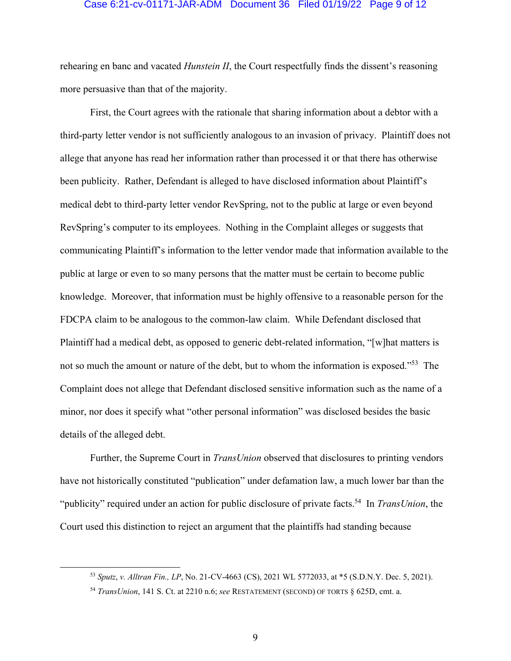#### Case 6:21-cv-01171-JAR-ADM Document 36 Filed 01/19/22 Page 9 of 12

rehearing en banc and vacated *Hunstein II*, the Court respectfully finds the dissent's reasoning more persuasive than that of the majority.

First, the Court agrees with the rationale that sharing information about a debtor with a third-party letter vendor is not sufficiently analogous to an invasion of privacy. Plaintiff does not allege that anyone has read her information rather than processed it or that there has otherwise been publicity. Rather, Defendant is alleged to have disclosed information about Plaintiff's medical debt to third-party letter vendor RevSpring, not to the public at large or even beyond RevSpring's computer to its employees. Nothing in the Complaint alleges or suggests that communicating Plaintiff's information to the letter vendor made that information available to the public at large or even to so many persons that the matter must be certain to become public knowledge. Moreover, that information must be highly offensive to a reasonable person for the FDCPA claim to be analogous to the common-law claim. While Defendant disclosed that Plaintiff had a medical debt, as opposed to generic debt-related information, "[w]hat matters is not so much the amount or nature of the debt, but to whom the information is exposed."53 The Complaint does not allege that Defendant disclosed sensitive information such as the name of a minor, nor does it specify what "other personal information" was disclosed besides the basic details of the alleged debt.

Further, the Supreme Court in *TransUnion* observed that disclosures to printing vendors have not historically constituted "publication" under defamation law, a much lower bar than the "publicity" required under an action for public disclosure of private facts.54 In *TransUnion*, the Court used this distinction to reject an argument that the plaintiffs had standing because

<sup>53</sup> *Sputz*, *v. Alltran Fin., LP*, No. 21-CV-4663 (CS), 2021 WL 5772033, at \*5 (S.D.N.Y. Dec. 5, 2021).

<sup>54</sup> *TransUnion*, 141 S. Ct. at 2210 n.6; *see* RESTATEMENT (SECOND) OF TORTS § 625D, cmt. a.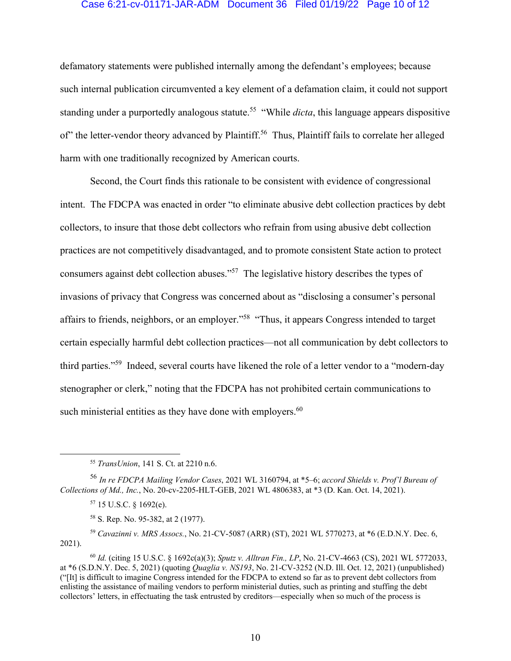#### Case 6:21-cv-01171-JAR-ADM Document 36 Filed 01/19/22 Page 10 of 12

defamatory statements were published internally among the defendant's employees; because such internal publication circumvented a key element of a defamation claim, it could not support standing under a purportedly analogous statute.<sup>55</sup> "While *dicta*, this language appears dispositive of" the letter-vendor theory advanced by Plaintiff.<sup>56</sup> Thus, Plaintiff fails to correlate her alleged harm with one traditionally recognized by American courts.

Second, the Court finds this rationale to be consistent with evidence of congressional intent. The FDCPA was enacted in order "to eliminate abusive debt collection practices by debt collectors, to insure that those debt collectors who refrain from using abusive debt collection practices are not competitively disadvantaged, and to promote consistent State action to protect consumers against debt collection abuses."57 The legislative history describes the types of invasions of privacy that Congress was concerned about as "disclosing a consumer's personal affairs to friends, neighbors, or an employer."58 "Thus, it appears Congress intended to target certain especially harmful debt collection practices—not all communication by debt collectors to third parties."59 Indeed, several courts have likened the role of a letter vendor to a "modern-day stenographer or clerk," noting that the FDCPA has not prohibited certain communications to such ministerial entities as they have done with employers.<sup>60</sup>

<sup>59</sup> *Cavazinni v. MRS Assocs.*, No. 21-CV-5087 (ARR) (ST), 2021 WL 5770273, at \*6 (E.D.N.Y. Dec. 6, 2021).

<sup>55</sup> *TransUnion*, 141 S. Ct. at 2210 n.6.

<sup>56</sup> *In re FDCPA Mailing Vendor Cases*, 2021 WL 3160794, at \*5–6; *accord Shields v. Prof'l Bureau of Collections of Md., Inc.*, No. 20-cv-2205-HLT-GEB, 2021 WL 4806383, at \*3 (D. Kan. Oct. 14, 2021).

<sup>57 15</sup> U.S.C. § 1692(e).

<sup>58</sup> S. Rep. No. 95-382, at 2 (1977).

<sup>60</sup> *Id.* (citing 15 U.S.C. § 1692c(a)(3); *Sputz v. Alltran Fin., LP*, No. 21-CV-4663 (CS), 2021 WL 5772033, at \*6 (S.D.N.Y. Dec. 5, 2021) (quoting *Quaglia v. NS193*, No. 21-CV-3252 (N.D. Ill. Oct. 12, 2021) (unpublished) ("[It] is difficult to imagine Congress intended for the FDCPA to extend so far as to prevent debt collectors from enlisting the assistance of mailing vendors to perform ministerial duties, such as printing and stuffing the debt collectors' letters, in effectuating the task entrusted by creditors—especially when so much of the process is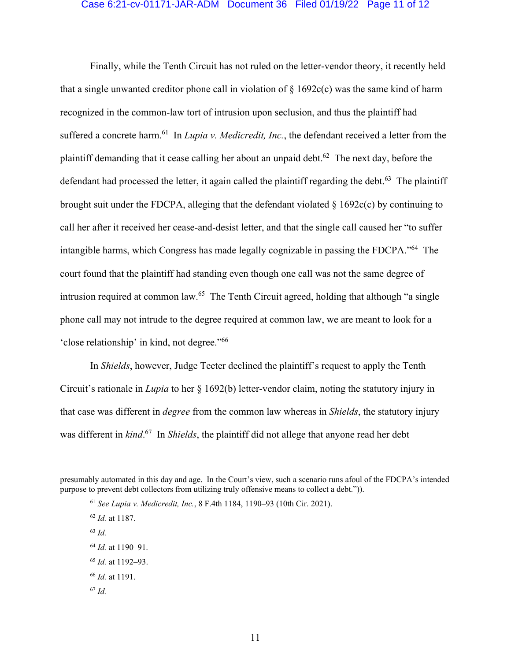#### Case 6:21-cv-01171-JAR-ADM Document 36 Filed 01/19/22 Page 11 of 12

Finally, while the Tenth Circuit has not ruled on the letter-vendor theory, it recently held that a single unwanted creditor phone call in violation of  $\S$  1692c(c) was the same kind of harm recognized in the common-law tort of intrusion upon seclusion, and thus the plaintiff had suffered a concrete harm.<sup>61</sup> In *Lupia v. Medicredit, Inc.*, the defendant received a letter from the plaintiff demanding that it cease calling her about an unpaid debt.<sup>62</sup> The next day, before the defendant had processed the letter, it again called the plaintiff regarding the debt.<sup>63</sup> The plaintiff brought suit under the FDCPA, alleging that the defendant violated  $\S$  1692c(c) by continuing to call her after it received her cease-and-desist letter, and that the single call caused her "to suffer intangible harms, which Congress has made legally cognizable in passing the FDCPA."64 The court found that the plaintiff had standing even though one call was not the same degree of intrusion required at common law.<sup>65</sup> The Tenth Circuit agreed, holding that although "a single" phone call may not intrude to the degree required at common law, we are meant to look for a 'close relationship' in kind, not degree."66

In *Shields*, however, Judge Teeter declined the plaintiff's request to apply the Tenth Circuit's rationale in *Lupia* to her § 1692(b) letter-vendor claim, noting the statutory injury in that case was different in *degree* from the common law whereas in *Shields*, the statutory injury was different in *kind*. 67 In *Shields*, the plaintiff did not allege that anyone read her debt

- <sup>63</sup> *Id.*
- <sup>64</sup> *Id.* at 1190–91.
- <sup>65</sup> *Id.* at 1192–93.
- <sup>66</sup> *Id.* at 1191.
- <sup>67</sup> *Id.*

presumably automated in this day and age. In the Court's view, such a scenario runs afoul of the FDCPA's intended purpose to prevent debt collectors from utilizing truly offensive means to collect a debt.")).

<sup>61</sup> *See Lupia v. Medicredit, Inc.*, 8 F.4th 1184, 1190–93 (10th Cir. 2021).

<sup>62</sup> *Id.* at 1187.